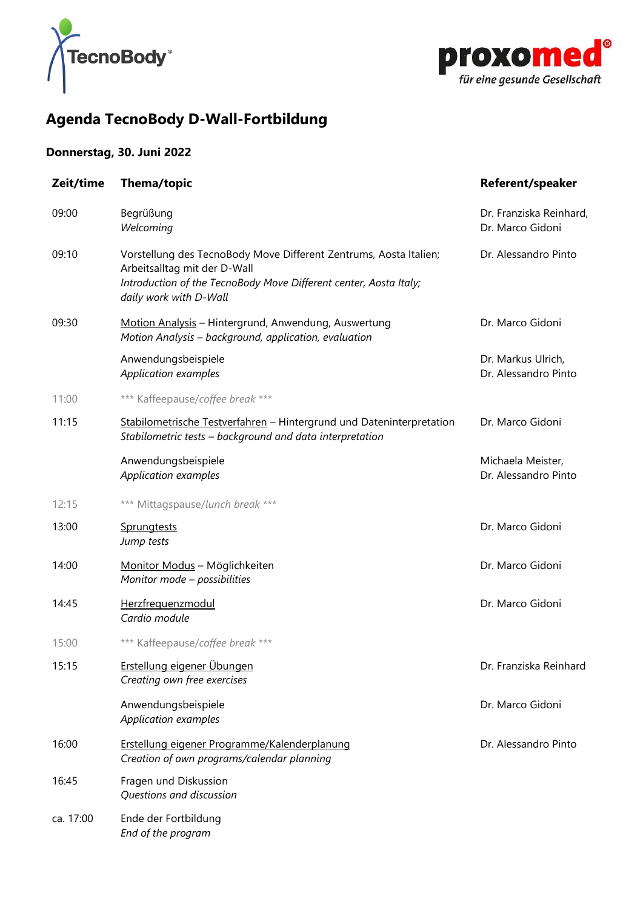



# **Agenda TecnoBody D-Wall-Fortbildung**

## **Donnerstag, 30. Juni 2022**

| Zeit/time | <b>Thema/topic</b>                                                                                                                                                                               | <b>Referent/speaker</b>                     |
|-----------|--------------------------------------------------------------------------------------------------------------------------------------------------------------------------------------------------|---------------------------------------------|
| 09:00     | Begrüßung<br>Welcoming                                                                                                                                                                           | Dr. Franziska Reinhard,<br>Dr. Marco Gidoni |
| 09:10     | Vorstellung des TecnoBody Move Different Zentrums, Aosta Italien;<br>Arbeitsalltag mit der D-Wall<br>Introduction of the TecnoBody Move Different center, Aosta Italy;<br>daily work with D-Wall | Dr. Alessandro Pinto                        |
| 09:30     | Motion Analysis - Hintergrund, Anwendung, Auswertung<br>Motion Analysis - background, application, evaluation                                                                                    | Dr. Marco Gidoni                            |
|           | Anwendungsbeispiele<br>Application examples                                                                                                                                                      | Dr. Markus Ulrich,<br>Dr. Alessandro Pinto  |
| 11:00     | *** Kaffeepause/coffee break ***                                                                                                                                                                 |                                             |
| 11:15     | Stabilometrische Testverfahren - Hintergrund und Dateninterpretation<br>Stabilometric tests - background and data interpretation                                                                 | Dr. Marco Gidoni                            |
|           | Anwendungsbeispiele<br>Application examples                                                                                                                                                      | Michaela Meister,<br>Dr. Alessandro Pinto   |
| 12:15     | *** Mittagspause/lunch break ***                                                                                                                                                                 |                                             |
| 13:00     | Sprungtests<br>Jump tests                                                                                                                                                                        | Dr. Marco Gidoni                            |
| 14:00     | Monitor Modus - Möglichkeiten<br>Monitor mode - possibilities                                                                                                                                    | Dr. Marco Gidoni                            |
| 14:45     | Herzfrequenzmodul<br>Cardio module                                                                                                                                                               | Dr. Marco Gidoni                            |
| 15:00     | *** Kaffeepause/coffee break ***                                                                                                                                                                 |                                             |
| 15:15     | Erstellung eigener Übungen<br>Creating own free exercises                                                                                                                                        | Dr. Franziska Reinhard                      |
|           | Anwendungsbeispiele<br>Application examples                                                                                                                                                      | Dr. Marco Gidoni                            |
| 16:00     | Erstellung eigener Programme/Kalenderplanung<br>Creation of own programs/calendar planning                                                                                                       | Dr. Alessandro Pinto                        |
| 16:45     | Fragen und Diskussion<br>Questions and discussion                                                                                                                                                |                                             |
| ca. 17:00 | Ende der Fortbildung<br>End of the program                                                                                                                                                       |                                             |